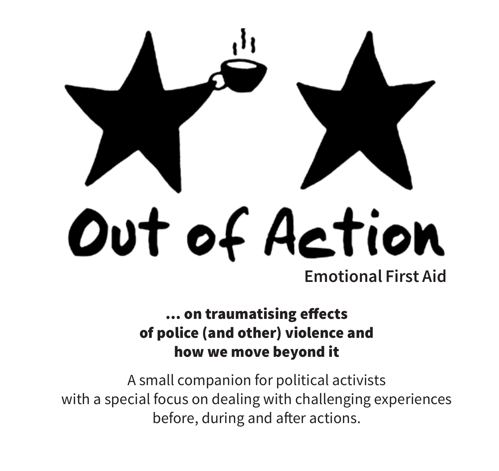

#### … on traumatising effects of police (and other) violence and how we move beyond it

A small companion for political activists with a special focus on dealing with challenging experiences before, during and after actions.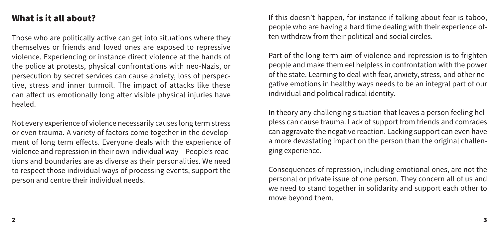# What is it all about?

Those who are politically active can get into situations where they themselves or friends and loved ones are exposed to repressive violence. Experiencing or instance direct violence at the hands of the police at protests, physical confrontations with neo-Nazis, or persecution by secret services can cause anxiety, loss of perspective, stress and inner turmoil. The impact of attacks like these can affect us emotionally long after visible physical injuries have healed.

Not every experience of violence necessarily causes long term stress or even trauma. A variety of factors come together in the development of long term effects. Everyone deals with the experience of violence and repression in their own individual way – People's reactions and boundaries are as diverse as their personalities. We need to respect those individual ways of processing events, support the person and centre their individual needs.

If this doesn't happen, for instance if talking about fear is taboo, people who are having a hard time dealing with their experience often withdraw from their political and social circles.

Part of the long term aim of violence and repression is to frighten people and make them eel helpless in confrontation with the power of the state. Learning to deal with fear, anxiety, stress, and other negative emotions in healthy ways needs to be an integral part of our individual and political radical identity.

In theory any challenging situation that leaves a person feeling helpless can cause trauma. Lack of support from friends and comrades can aggravate the negative reaction. Lacking support can even have a more devastating impact on the person than the original challenging experience.

Consequences of repression, including emotional ones, are not the personal or private issue of one person. They concern all of us and we need to stand together in solidarity and support each other to move beyond them.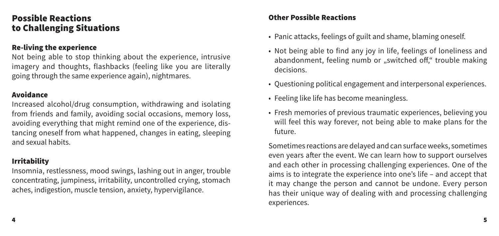### Possible Reactions to Challenging Situations

#### Re-living the experience

Not being able to stop thinking about the experience, intrusive imagery and thoughts, flashbacks (feeling like you are literally going through the same experience again), nightmares.

#### Avoidance

Increased alcohol/drug consumption, withdrawing and isolating from friends and family, avoiding social occasions, memory loss, avoiding everything that might remind one of the experience, distancing oneself from what happened, changes in eating, sleeping and sexual habits.

#### Irritability

Insomnia, restlessness, mood swings, lashing out in anger, trouble concentrating, jumpiness, irritability, uncontrolled crying, stomach aches, indigestion, muscle tension, anxiety, hypervigilance.

#### Other Possible Reactions

- Panic attacks, feelings of guilt and shame, blaming oneself.
- Not being able to find any joy in life, feelings of loneliness and abandonment, feeling numb or "switched off," trouble making decisions.
- Questioning political engagement and interpersonal experiences.
- Feeling like life has become meaningless.
- Fresh memories of previous traumatic experiences, believing you will feel this way forever, not being able to make plans for the future.

Sometimes reactions are delayed and can surface weeks, sometimes even years after the event. We can learn how to support ourselves and each other in processing challenging experiences. One of the aims is to integrate the experience into one's life – and accept that it may change the person and cannot be undone. Every person has their unique way of dealing with and processing challenging experiences.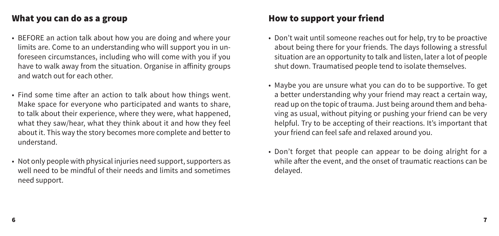## What you can do as a group

- BEFORE an action talk about how you are doing and where your limits are. Come to an understanding who will support you in unforeseen circumstances, including who will come with you if you have to walk away from the situation. Organise in affinity groups and watch out for each other.
- Find some time after an action to talk about how things went. Make space for everyone who participated and wants to share, to talk about their experience, where they were, what happened, what they saw/hear, what they think about it and how they feel about it. This way the story becomes more complete and better to understand.
- Not only people with physical injuries need support, supporters as well need to be mindful of their needs and limits and sometimes need support.

# How to support your friend

- Don't wait until someone reaches out for help, try to be proactive about being there for your friends. The days following a stressful situation are an opportunity to talk and listen, later a lot of people shut down. Traumatised people tend to isolate themselves.
- Maybe you are unsure what you can do to be supportive. To get a better understanding why your friend may react a certain way, read up on the topic of trauma. Just being around them and behaving as usual, without pitying or pushing your friend can be very helpful. Try to be accepting of their reactions. It's important that your friend can feel safe and relaxed around you.
- Don't forget that people can appear to be doing alright for a while after the event, and the onset of traumatic reactions can be delayed.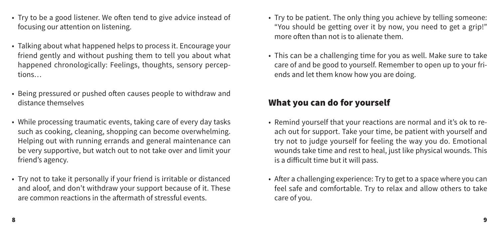- Try to be a good listener. We often tend to give advice instead of focusing our attention on listening.
- Talking about what happened helps to process it. Encourage your friend gently and without pushing them to tell you about what happened chronologically: Feelings, thoughts, sensory perceptions…
- Being pressured or pushed often causes people to withdraw and distance themselves
- While processing traumatic events, taking care of every day tasks such as cooking, cleaning, shopping can become overwhelming. Helping out with running errands and general maintenance can be very supportive, but watch out to not take over and limit your friend's agency.
- Try not to take it personally if your friend is irritable or distanced and aloof, and don't withdraw your support because of it. These are common reactions in the aftermath of stressful events.
- Try to be patient. The only thing you achieve by telling someone: "You should be getting over it by now, you need to get a grip!" more often than not is to alienate them.
- This can be a challenging time for you as well. Make sure to take care of and be good to yourself. Remember to open up to your friends and let them know how you are doing.

# What you can do for yourself

- Remind yourself that your reactions are normal and it's ok to reach out for support. Take your time, be patient with yourself and try not to judge yourself for feeling the way you do. Emotional wounds take time and rest to heal, just like physical wounds. This is a difficult time but it will pass.
- After a challenging experience: Try to get to a space where you can feel safe and comfortable. Try to relax and allow others to take care of you.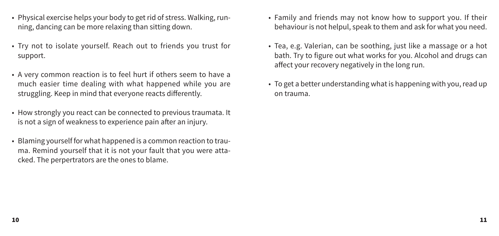- Physical exercise helps your body to get rid of stress. Walking, running, dancing can be more relaxing than sitting down.
- Try not to isolate yourself. Reach out to friends you trust for support.
- A very common reaction is to feel hurt if others seem to have a much easier time dealing with what happened while you are struggling. Keep in mind that everyone reacts differently.
- How strongly you react can be connected to previous traumata. It is not a sign of weakness to experience pain after an injury.
- Blaming yourself for what happened is a common reaction to trauma. Remind yourself that it is not your fault that you were attacked. The perpertrators are the ones to blame.
- Family and friends may not know how to support you. If their behaviour is not helpul, speak to them and ask for what you need.
- Tea, e.g. Valerian, can be soothing, just like a massage or a hot bath. Try to figure out what works for you. Alcohol and drugs can affect your recovery negatively in the long run.
- To get a better understanding what is happening with you, read up on trauma.